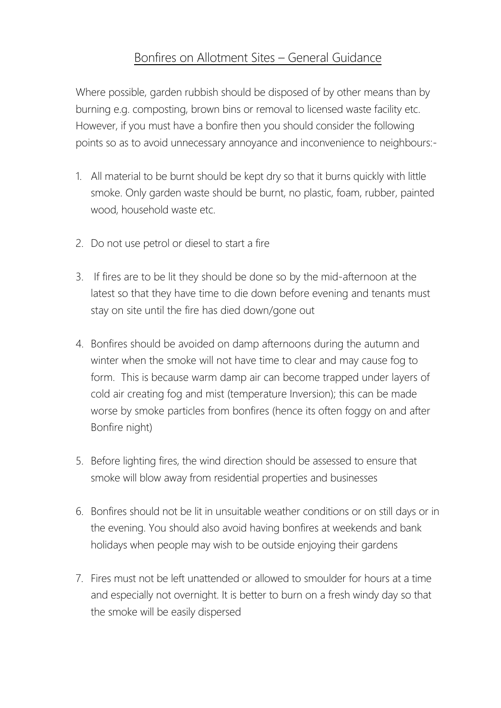## Bonfires on Allotment Sites – General Guidance

Where possible, garden rubbish should be disposed of by other means than by burning e.g. composting, brown bins or removal to licensed waste facility etc. However, if you must have a bonfire then you should consider the following points so as to avoid unnecessary annoyance and inconvenience to neighbours:-

- 1. All material to be burnt should be kept dry so that it burns quickly with little smoke. Only garden waste should be burnt, no plastic, foam, rubber, painted wood, household waste etc.
- 2. Do not use petrol or diesel to start a fire
- 3. If fires are to be lit they should be done so by the mid-afternoon at the latest so that they have time to die down before evening and tenants must stay on site until the fire has died down/gone out
- 4. Bonfires should be avoided on damp afternoons during the autumn and winter when the smoke will not have time to clear and may cause fog to form. This is because warm damp air can become trapped under layers of cold air creating fog and mist (temperature Inversion); this can be made worse by smoke particles from bonfires (hence its often foggy on and after Bonfire night)
- 5. Before lighting fires, the wind direction should be assessed to ensure that smoke will blow away from residential properties and businesses
- 6. Bonfires should not be lit in unsuitable weather conditions or on still days or in the evening. You should also avoid having bonfires at weekends and bank holidays when people may wish to be outside enjoying their gardens
- 7. Fires must not be left unattended or allowed to smoulder for hours at a time and especially not overnight. It is better to burn on a fresh windy day so that the smoke will be easily dispersed